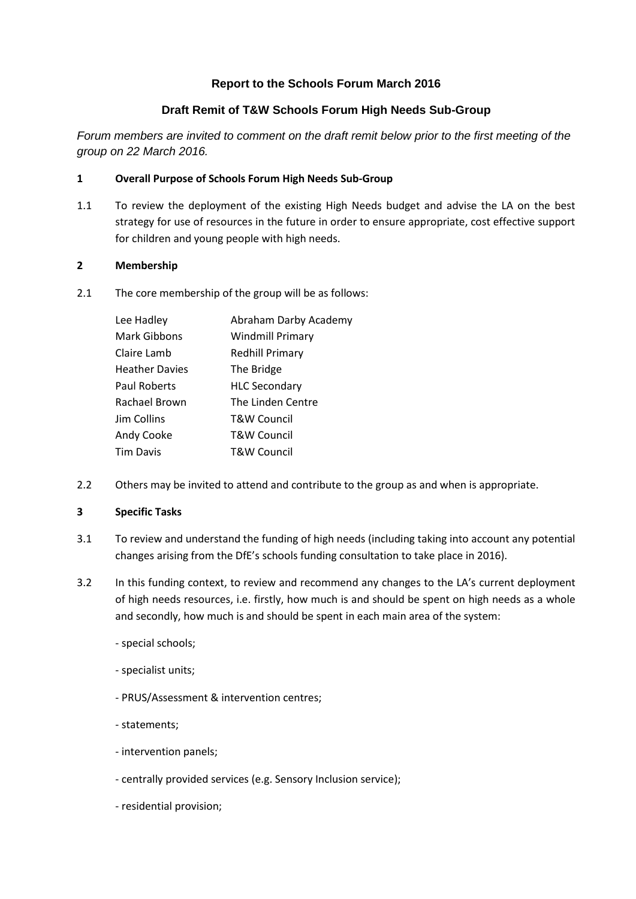## **Report to the Schools Forum March 2016**

# **Draft Remit of T&W Schools Forum High Needs Sub-Group**

*Forum members are invited to comment on the draft remit below prior to the first meeting of the group on 22 March 2016.*

## **1 Overall Purpose of Schools Forum High Needs Sub-Group**

1.1 To review the deployment of the existing High Needs budget and advise the LA on the best strategy for use of resources in the future in order to ensure appropriate, cost effective support for children and young people with high needs.

### **2 Membership**

2.1 The core membership of the group will be as follows:

| Lee Hadley            | Abraham Darby Academy   |
|-----------------------|-------------------------|
| <b>Mark Gibbons</b>   | <b>Windmill Primary</b> |
| Claire Lamb           | <b>Redhill Primary</b>  |
| <b>Heather Davies</b> | The Bridge              |
| Paul Roberts          | <b>HLC Secondary</b>    |
| Rachael Brown         | The Linden Centre       |
| Jim Collins           | <b>T&amp;W Council</b>  |
| Andy Cooke            | T&W Council             |
| <b>Tim Davis</b>      | T&W Council             |

2.2 Others may be invited to attend and contribute to the group as and when is appropriate.

#### **3 Specific Tasks**

- 3.1 To review and understand the funding of high needs (including taking into account any potential changes arising from the DfE's schools funding consultation to take place in 2016).
- 3.2 In this funding context, to review and recommend any changes to the LA's current deployment of high needs resources, i.e. firstly, how much is and should be spent on high needs as a whole and secondly, how much is and should be spent in each main area of the system:
	- special schools;
	- specialist units;
	- PRUS/Assessment & intervention centres;
	- statements;
	- intervention panels;
	- centrally provided services (e.g. Sensory Inclusion service);
	- residential provision;